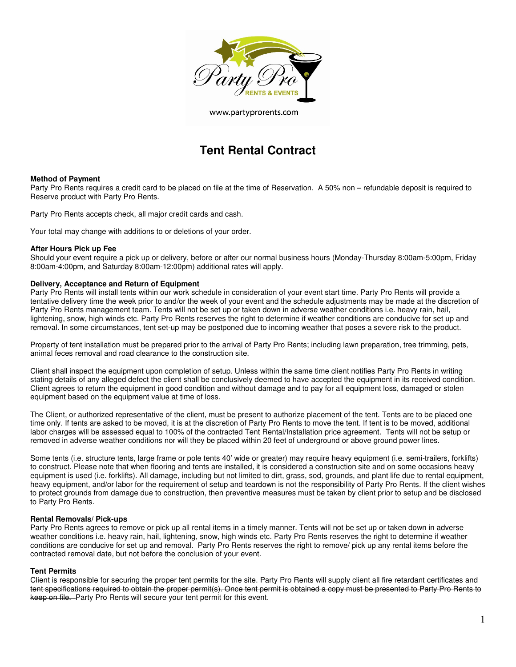

www.partyprorents.com

# **Tent Rental Contract**

## **Method of Payment**

Party Pro Rents requires a credit card to be placed on file at the time of Reservation. A 50% non – refundable deposit is required to Reserve product with Party Pro Rents.

Party Pro Rents accepts check, all major credit cards and cash.

Your total may change with additions to or deletions of your order.

#### **After Hours Pick up Fee**

Should your event require a pick up or delivery, before or after our normal business hours (Monday-Thursday 8:00am-5:00pm, Friday 8:00am-4:00pm, and Saturday 8:00am-12:00pm) additional rates will apply.

## **Delivery, Acceptance and Return of Equipment**

Party Pro Rents will install tents within our work schedule in consideration of your event start time. Party Pro Rents will provide a tentative delivery time the week prior to and/or the week of your event and the schedule adjustments may be made at the discretion of Party Pro Rents management team. Tents will not be set up or taken down in adverse weather conditions i.e. heavy rain, hail, lightening, snow, high winds etc. Party Pro Rents reserves the right to determine if weather conditions are conducive for set up and removal. In some circumstances, tent set-up may be postponed due to incoming weather that poses a severe risk to the product.

Property of tent installation must be prepared prior to the arrival of Party Pro Rents; including lawn preparation, tree trimming, pets, animal feces removal and road clearance to the construction site.

Client shall inspect the equipment upon completion of setup. Unless within the same time client notifies Party Pro Rents in writing stating details of any alleged defect the client shall be conclusively deemed to have accepted the equipment in its received condition. Client agrees to return the equipment in good condition and without damage and to pay for all equipment loss, damaged or stolen equipment based on the equipment value at time of loss.

The Client, or authorized representative of the client, must be present to authorize placement of the tent. Tents are to be placed one time only. If tents are asked to be moved, it is at the discretion of Party Pro Rents to move the tent. If tent is to be moved, additional labor charges will be assessed equal to 100% of the contracted Tent Rental/Installation price agreement. Tents will not be setup or removed in adverse weather conditions nor will they be placed within 20 feet of underground or above ground power lines.

Some tents (i.e. structure tents, large frame or pole tents 40' wide or greater) may require heavy equipment (i.e. semi-trailers, forklifts) to construct. Please note that when flooring and tents are installed, it is considered a construction site and on some occasions heavy equipment is used (i.e. forklifts). All damage, including but not limited to dirt, grass, sod, grounds, and plant life due to rental equipment, heavy equipment, and/or labor for the requirement of setup and teardown is not the responsibility of Party Pro Rents. If the client wishes to protect grounds from damage due to construction, then preventive measures must be taken by client prior to setup and be disclosed to Party Pro Rents.

## **Rental Removals/ Pick-ups**

Party Pro Rents agrees to remove or pick up all rental items in a timely manner. Tents will not be set up or taken down in adverse weather conditions i.e. heavy rain, hail, lightening, snow, high winds etc. Party Pro Rents reserves the right to determine if weather conditions are conducive for set up and removal. Party Pro Rents reserves the right to remove/ pick up any rental items before the contracted removal date, but not before the conclusion of your event.

#### **Tent Permits**

Client is responsible for securing the proper tent permits for the site. Party Pro Rents will supply client all fire retardant certificates and tent specifications required to obtain the proper permit(s). Once tent permit is obtained a copy must be presented to Party Pro Rents to keep on file. Party Pro Rents will secure your tent permit for this event.